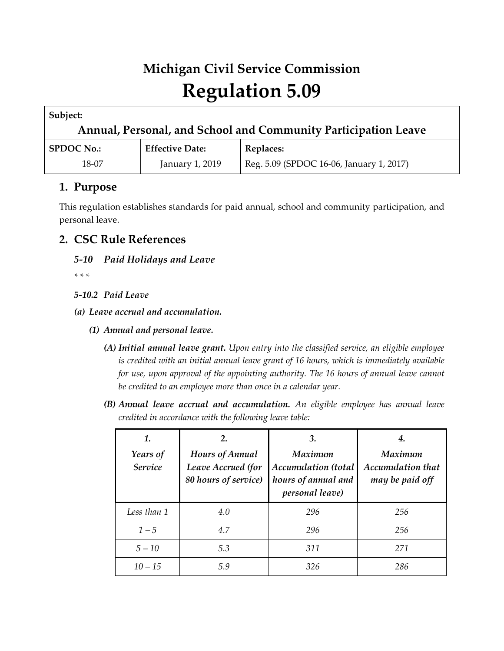# **Michigan Civil Service Commission Regulation 5.09**

| Subject:                                                       |                 |                                          |  |  |  |  |  |
|----------------------------------------------------------------|-----------------|------------------------------------------|--|--|--|--|--|
| Annual, Personal, and School and Community Participation Leave |                 |                                          |  |  |  |  |  |
| <b>Effective Date:</b><br><b>SPDOC No.:</b>                    |                 | <b>Replaces:</b>                         |  |  |  |  |  |
| 18-07                                                          | January 1, 2019 | Reg. 5.09 (SPDOC 16-06, January 1, 2017) |  |  |  |  |  |

# **1. Purpose**

This regulation establishes standards for paid annual, school and community participation, and personal leave.

# **2. CSC Rule References**

# *5-10 Paid Holidays and Leave*

*\* \* \** 

## *5-10.2 Paid Leave*

- *(a) Leave accrual and accumulation.*
	- *(1) Annual and personal leave.*
		- *(A) Initial annual leave grant. Upon entry into the classified service, an eligible employee is credited with an initial annual leave grant of 16 hours, which is immediately available for use, upon approval of the appointing authority. The 16 hours of annual leave cannot be credited to an employee more than once in a calendar year.*
		- *(B) Annual leave accrual and accumulation. An eligible employee has annual leave credited in accordance with the following leave table:*

| 1.<br>Years of<br>Service | 2.<br>Hours of Annual<br>Leave Accrued (for<br>80 hours of service) | 3.<br><b>Maximum</b><br>Accumulation (total<br>hours of annual and<br>personal leave) | 4.<br><b>Maximum</b><br><b>Accumulation that</b><br>may be paid off |
|---------------------------|---------------------------------------------------------------------|---------------------------------------------------------------------------------------|---------------------------------------------------------------------|
| Less than 1               | 4.0                                                                 | 296                                                                                   | 256                                                                 |
| $1 - 5$                   | 4.7                                                                 | 296                                                                                   | 256                                                                 |
| $5 - 10$                  | 5.3                                                                 | 311                                                                                   | 271                                                                 |
| $10 - 15$                 | 5.9                                                                 | 326                                                                                   | 286                                                                 |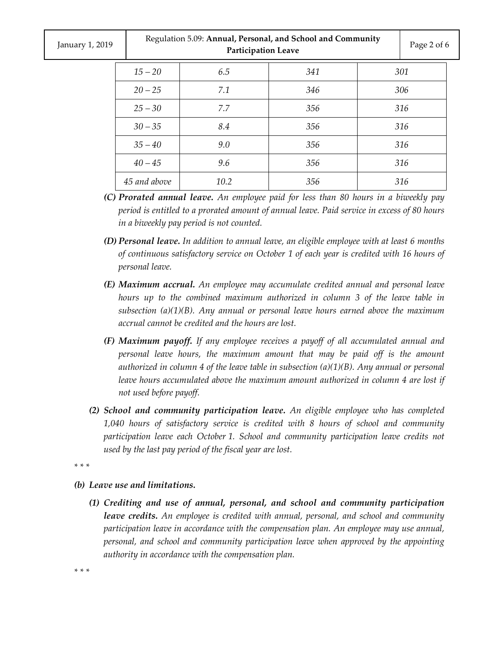| January 1, 2019 |              | Regulation 5.09: Annual, Personal, and School and Community<br><b>Participation Leave</b> |     |                          |     |  |
|-----------------|--------------|-------------------------------------------------------------------------------------------|-----|--------------------------|-----|--|
|                 | $15 - 20$    | 6.5                                                                                       | 341 | 301                      |     |  |
|                 | $20 - 25$    | 7.1                                                                                       | 346 | 306<br>316<br>316<br>316 |     |  |
|                 | $25 - 30$    | 7.7                                                                                       | 356 |                          |     |  |
|                 | $30 - 35$    | 8.4                                                                                       | 356 |                          |     |  |
|                 | $35 - 40$    | 9.0                                                                                       | 356 |                          |     |  |
|                 | $40 - 45$    | 9.6                                                                                       | 356 |                          | 316 |  |
|                 | 45 and above | 10.2                                                                                      | 356 |                          | 316 |  |

- *(C) Prorated annual leave. An employee paid for less than 80 hours in a biweekly pay period is entitled to a prorated amount of annual leave. Paid service in excess of 80 hours in a biweekly pay period is not counted.*
- *(D) Personal leave. In addition to annual leave, an eligible employee with at least 6 months of continuous satisfactory service on October 1 of each year is credited with 16 hours of personal leave.*
- *(E) Maximum accrual. An employee may accumulate credited annual and personal leave hours up to the combined maximum authorized in column 3 of the leave table in subsection (a)(1)(B). Any annual or personal leave hours earned above the maximum accrual cannot be credited and the hours are lost.*
- *(F) Maximum payoff. If any employee receives a payoff of all accumulated annual and personal leave hours, the maximum amount that may be paid off is the amount authorized in column 4 of the leave table in subsection (a)(1)(B). Any annual or personal*  leave hours accumulated above the maximum amount authorized in column 4 are lost if *not used before payoff.*
- *(2) School and community participation leave. An eligible employee who has completed 1,040 hours of satisfactory service is credited with 8 hours of school and community participation leave each October 1. School and community participation leave credits not used by the last pay period of the fiscal year are lost.*

*\* \* \** 

- *(b) Leave use and limitations.*
	- *(1) Crediting and use of annual, personal, and school and community participation leave credits. An employee is credited with annual, personal, and school and community participation leave in accordance with the compensation plan. An employee may use annual, personal, and school and community participation leave when approved by the appointing authority in accordance with the compensation plan.*

*\* \* \**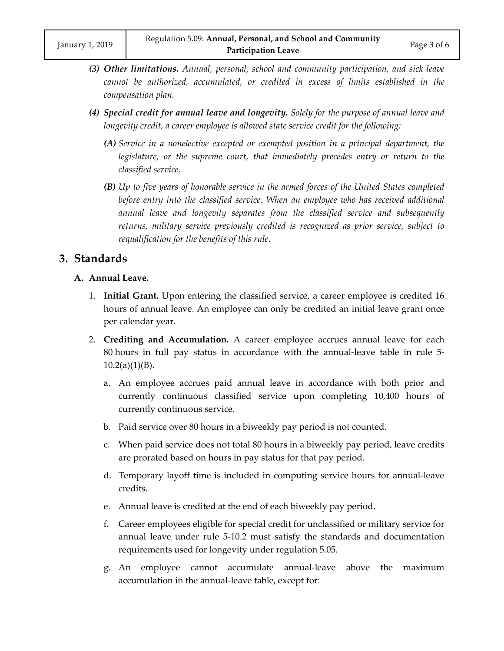- *(3) Other limitations. Annual, personal, school and community participation, and sick leave cannot be authorized, accumulated, or credited in excess of limits established in the compensation plan.*
- *(4) Special credit for annual leave and longevity. Solely for the purpose of annual leave and longevity credit, a career employee is allowed state service credit for the following:*
	- *(A) Service in a nonelective excepted or exempted position in a principal department, the legislature, or the supreme court, that immediately precedes entry or return to the classified service.*
	- *(B) Up to five years of honorable service in the armed forces of the United States completed*  before entry into the classified service. When an employee who has received additional *annual leave and longevity separates from the classified service and subsequently returns, military service previously credited is recognized as prior service, subject to requalification for the benefits of this rule.*

## **3. Standards**

### **A. Annual Leave.**

- 1. **Initial Grant.** Upon entering the classified service, a career employee is credited 16 hours of annual leave. An employee can only be credited an initial leave grant once per calendar year.
- 2. **Crediting and Accumulation.** A career employee accrues annual leave for each 80 hours in full pay status in accordance with the annual-leave table in rule 5-  $10.2(a)(1)(B)$ .
	- a. An employee accrues paid annual leave in accordance with both prior and currently continuous classified service upon completing 10,400 hours of currently continuous service.
	- b. Paid service over 80 hours in a biweekly pay period is not counted.
	- c. When paid service does not total 80 hours in a biweekly pay period, leave credits are prorated based on hours in pay status for that pay period.
	- d. Temporary layoff time is included in computing service hours for annual-leave credits.
	- e. Annual leave is credited at the end of each biweekly pay period.
	- f. Career employees eligible for special credit for unclassified or military service for annual leave under rule 5-10.2 must satisfy the standards and documentation requirements used for longevity under regulation 5.05.
	- g. An employee cannot accumulate annual-leave above the maximum accumulation in the annual-leave table, except for: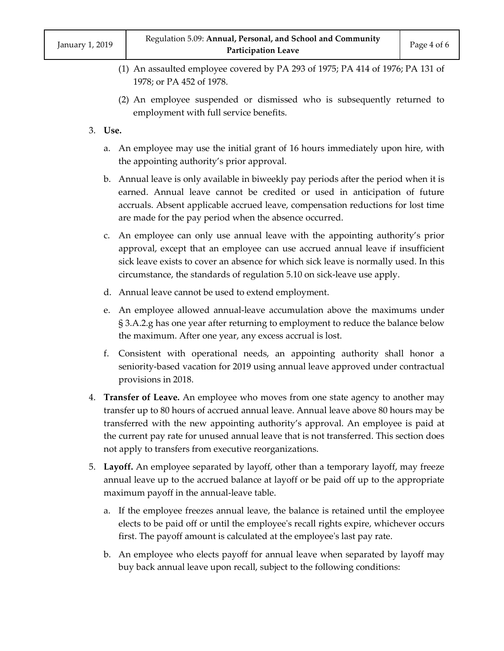- (1) An assaulted employee covered by PA 293 of 1975; PA 414 of 1976; PA 131 of 1978; or PA 452 of 1978.
- (2) An employee suspended or dismissed who is subsequently returned to employment with full service benefits.
- 3. **Use.**
	- a. An employee may use the initial grant of 16 hours immediately upon hire, with the appointing authority's prior approval.
	- b. Annual leave is only available in biweekly pay periods after the period when it is earned. Annual leave cannot be credited or used in anticipation of future accruals. Absent applicable accrued leave, compensation reductions for lost time are made for the pay period when the absence occurred.
	- c. An employee can only use annual leave with the appointing authority's prior approval, except that an employee can use accrued annual leave if insufficient sick leave exists to cover an absence for which sick leave is normally used. In this circumstance, the standards of regulation 5.10 on sick-leave use apply.
	- d. Annual leave cannot be used to extend employment.
	- e. An employee allowed annual-leave accumulation above the maximums under § 3.A.2.g has one year after returning to employment to reduce the balance below the maximum. After one year, any excess accrual is lost.
	- f. Consistent with operational needs, an appointing authority shall honor a seniority-based vacation for 2019 using annual leave approved under contractual provisions in 2018.
- 4. **Transfer of Leave.** An employee who moves from one state agency to another may transfer up to 80 hours of accrued annual leave. Annual leave above 80 hours may be transferred with the new appointing authority's approval. An employee is paid at the current pay rate for unused annual leave that is not transferred. This section does not apply to transfers from executive reorganizations.
- 5. **Layoff.** An employee separated by layoff, other than a temporary layoff, may freeze annual leave up to the accrued balance at layoff or be paid off up to the appropriate maximum payoff in the annual-leave table.
	- a. If the employee freezes annual leave, the balance is retained until the employee elects to be paid off or until the employee's recall rights expire, whichever occurs first. The payoff amount is calculated at the employee's last pay rate.
	- b. An employee who elects payoff for annual leave when separated by layoff may buy back annual leave upon recall, subject to the following conditions: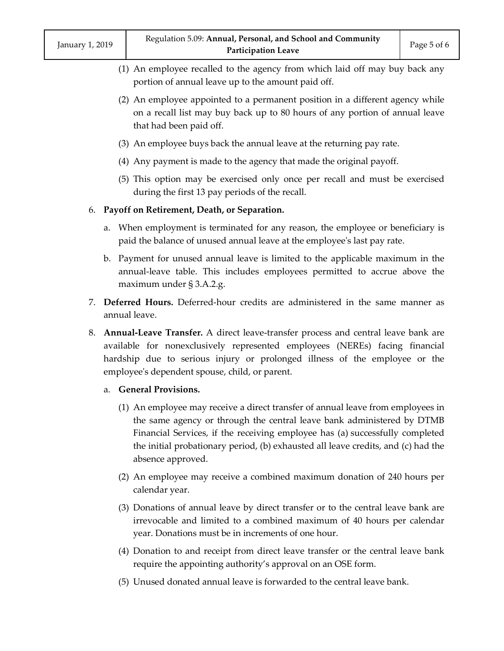- (1) An employee recalled to the agency from which laid off may buy back any portion of annual leave up to the amount paid off.
- (2) An employee appointed to a permanent position in a different agency while on a recall list may buy back up to 80 hours of any portion of annual leave that had been paid off.
- (3) An employee buys back the annual leave at the returning pay rate.
- (4) Any payment is made to the agency that made the original payoff.
- (5) This option may be exercised only once per recall and must be exercised during the first 13 pay periods of the recall.

### 6. **Payoff on Retirement, Death, or Separation.**

- a. When employment is terminated for any reason, the employee or beneficiary is paid the balance of unused annual leave at the employee's last pay rate.
- b. Payment for unused annual leave is limited to the applicable maximum in the annual-leave table. This includes employees permitted to accrue above the maximum under § 3.A.2.g.
- 7. **Deferred Hours.** Deferred-hour credits are administered in the same manner as annual leave.
- 8. **Annual-Leave Transfer.** A direct leave-transfer process and central leave bank are available for nonexclusively represented employees (NEREs) facing financial hardship due to serious injury or prolonged illness of the employee or the employee's dependent spouse, child, or parent.
	- a. **General Provisions.**
		- (1) An employee may receive a direct transfer of annual leave from employees in the same agency or through the central leave bank administered by DTMB Financial Services, if the receiving employee has (a) successfully completed the initial probationary period, (b) exhausted all leave credits, and (c) had the absence approved.
		- (2) An employee may receive a combined maximum donation of 240 hours per calendar year.
		- (3) Donations of annual leave by direct transfer or to the central leave bank are irrevocable and limited to a combined maximum of 40 hours per calendar year. Donations must be in increments of one hour.
		- (4) Donation to and receipt from direct leave transfer or the central leave bank require the appointing authority's approval on an OSE form.
		- (5) Unused donated annual leave is forwarded to the central leave bank.